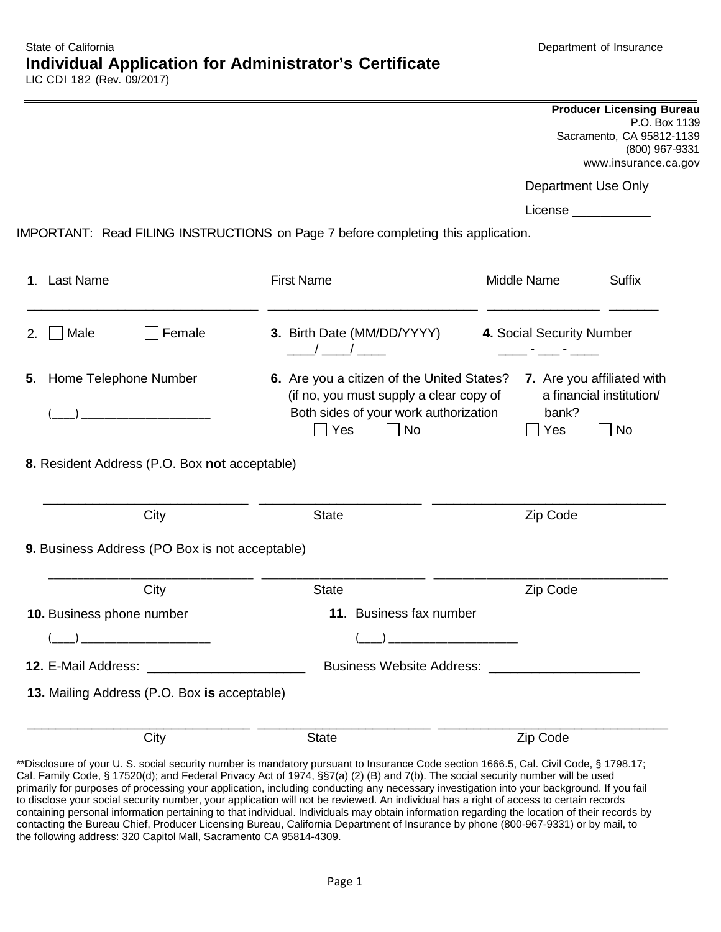| <b>Producer Licensing Bureau</b> |
|----------------------------------|
| P.O. Box 1139                    |
| Sacramento, CA 95812-1139        |
| (800) 967-9331                   |
| www.insurance.ca.gov             |
|                                  |

Department Use Only

License

IMPORTANT: Read FILING INSTRUCTIONS on Page 7 before completing this application.

| 1. Last Name                                        | <b>First Name</b>                                                                                                                                         | Middle Name               | <b>Suffix</b>                                                                         |
|-----------------------------------------------------|-----------------------------------------------------------------------------------------------------------------------------------------------------------|---------------------------|---------------------------------------------------------------------------------------|
| Male<br>Female<br>2.                                | 3. Birth Date (MM/DD/YYYY)                                                                                                                                | 4. Social Security Number |                                                                                       |
| Home Telephone Number<br>5.                         | 6. Are you a citizen of the United States?<br>(if no, you must supply a clear copy of<br>Both sides of your work authorization<br>$\Box$ Yes<br>$\Box$ No | bank?<br>Yes              | 7. Are you affiliated with<br>a financial institution/<br><b>No</b><br>$\blacksquare$ |
| 8. Resident Address (P.O. Box not acceptable)       |                                                                                                                                                           |                           |                                                                                       |
| City                                                | <b>State</b>                                                                                                                                              | Zip Code                  |                                                                                       |
| 9. Business Address (PO Box is not acceptable)      |                                                                                                                                                           |                           |                                                                                       |
| City                                                | <b>State</b>                                                                                                                                              | Zip Code                  |                                                                                       |
| 10. Business phone number                           | 11. Business fax number                                                                                                                                   |                           |                                                                                       |
|                                                     |                                                                                                                                                           |                           |                                                                                       |
| <b>12. E-Mail Address: All Address Example 2014</b> | Business Website Address: ___________________                                                                                                             |                           |                                                                                       |
| 13. Mailing Address (P.O. Box is acceptable)        |                                                                                                                                                           |                           |                                                                                       |
| City                                                | <b>State</b>                                                                                                                                              | Zip Code                  |                                                                                       |

 \*\*Disclosure of your U. S. social security number is mandatory pursuant to Insurance Code section 1666.5, Cal. Civil Code, § 1798.17; to disclose your social security number, your application will not be reviewed. An individual has a right of access to certain records Cal. Family Code, § 17520(d); and Federal Privacy Act of 1974, §§7(a) (2) (B) and 7(b). The social security number will be used primarily for purposes of processing your application, including conducting any necessary investigation into your background. If you fail containing personal information pertaining to that individual. Individuals may obtain information regarding the location of their records by contacting the Bureau Chief, Producer Licensing Bureau, California Department of Insurance by phone (800-967-9331) or by mail, to the following address: 320 Capitol Mall, Sacramento CA 95814-4309.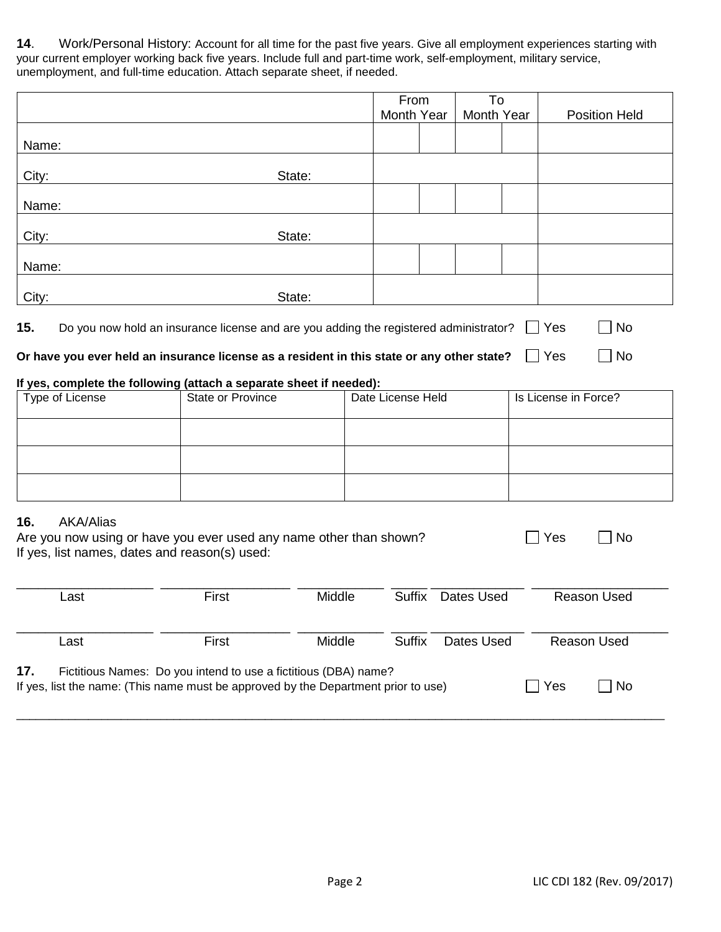**14**. Work/Personal History: Account for all time for the past five years. Give all employment experiences starting with your current employer working back five years. Include full and part-time work, self-employment, military service, unemployment, and full-time education. Attach separate sheet, if needed.

|       |        | From       | To         |                      |
|-------|--------|------------|------------|----------------------|
|       |        | Month Year | Month Year | <b>Position Held</b> |
| Name: |        |            |            |                      |
| City: | State: |            |            |                      |
| Name: |        |            |            |                      |
| City: | State: |            |            |                      |
| Name: |        |            |            |                      |
| City: | State: |            |            |                      |

No **Or have you ever held an insurance license as a resident in this state or any other state?**  Yes

### **If yes, complete the following (attach a separate sheet if needed):**

| Type of License | State or Province | Date License Held | Is License in Force? |
|-----------------|-------------------|-------------------|----------------------|
|                 |                   |                   |                      |
|                 |                   |                   |                      |
|                 |                   |                   |                      |

### **16.** AKA/Alias

| <b>TV: /\IVV/\IIUV</b>                                             |            |           |
|--------------------------------------------------------------------|------------|-----------|
| Are you now using or have you ever used any name other than shown? | $\Box$ Yes | $\Box$ No |
| If yes, list names, dates and reason(s) used:                      |            |           |

| Last                                                                                                                                                                       | First | Middle | Suffix | Dates Used | Reason Used        |  |
|----------------------------------------------------------------------------------------------------------------------------------------------------------------------------|-------|--------|--------|------------|--------------------|--|
| Last                                                                                                                                                                       | First | Middle | Suffix | Dates Used | <b>Reason Used</b> |  |
| 17.<br>Fictitious Names: Do you intend to use a fictitious (DBA) name?<br>Yes<br>No.<br>If yes, list the name: (This name must be approved by the Department prior to use) |       |        |        |            |                    |  |

\_\_\_\_\_\_\_\_\_\_\_\_\_\_\_\_\_\_\_\_\_\_\_\_\_\_\_\_\_\_\_\_\_\_\_\_\_\_\_\_\_\_\_\_\_\_\_\_\_\_\_\_\_\_\_\_\_\_\_\_\_\_\_\_\_\_\_\_\_\_\_\_\_\_\_\_\_\_\_\_\_\_\_\_\_\_\_\_\_\_\_\_\_\_\_\_\_\_\_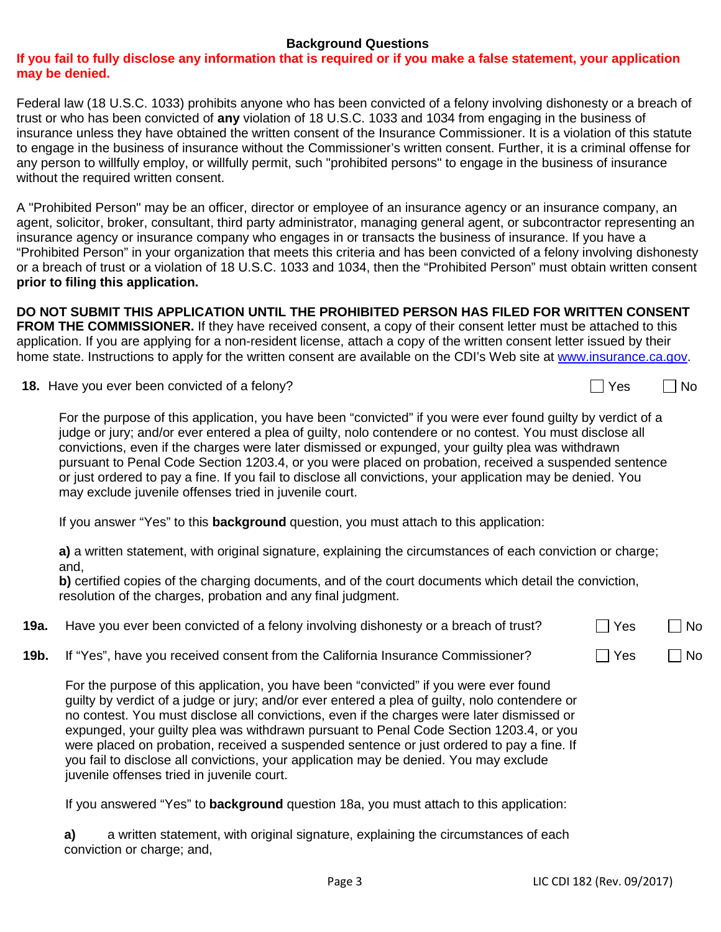## **Background Questions**

## **If you fail to fully disclose any information that is required or if you make a false statement, your application may be denied.**

Federal law (18 U.S.C. 1033) prohibits anyone who has been convicted of a felony involving dishonesty or a breach of trust or who has been convicted of **any** violation of 18 U.S.C. 1033 and 1034 from engaging in the business of insurance unless they have obtained the written consent of the Insurance Commissioner. It is a violation of this statute to engage in the business of insurance without the Commissioner's written consent. Further, it is a criminal offense for any person to willfully employ, or willfully permit, such "prohibited persons" to engage in the business of insurance without the required written consent.

A "Prohibited Person" may be an officer, director or employee of an insurance agency or an insurance company, an agent, solicitor, broker, consultant, third party administrator, managing general agent, or subcontractor representing an insurance agency or insurance company who engages in or transacts the business of insurance. If you have a "Prohibited Person" in your organization that meets this criteria and has been convicted of a felony involving dishonesty or a breach of trust or a violation of 18 U.S.C. 1033 and 1034, then the "Prohibited Person" must obtain written consent **prior to filing this application.** 

 **FROM THE COMMISSIONER.** If they have received consent, a copy of their consent letter must be attached to this home state. Instructions to apply for the written consent are available on the CDI's Web site at www.insurance.ca.gov **DO NOT SUBMIT THIS APPLICATION UNTIL THE PROHIBITED PERSON HAS FILED FOR WRITTEN CONSENT**  application. If you are applying for a non-resident license, attach a copy of the written consent letter issued by their

**18.** Have you ever been convicted of a felony?

 judge or jury; and/or ever entered a plea of guilty, nolo contendere or no contest. You must disclose all For the purpose of this application, you have been "convicted" if you were ever found guilty by verdict of a convictions, even if the charges were later dismissed or expunged, your guilty plea was withdrawn pursuant to Penal Code Section 1203.4, or you were placed on probation, received a suspended sentence or just ordered to pay a fine. If you fail to disclose all convictions, your application may be denied. You may exclude juvenile offenses tried in juvenile court.

If you answer "Yes" to this **background** question, you must attach to this application:

**a)** a written statement, with original signature, explaining the circumstances of each conviction or charge; and,

 resolution of the charges, probation and any final judgment. **b)** certified copies of the charging documents, and of the court documents which detail the conviction,

| 19a. Have you ever been convicted of a felony involving dishonesty or a breach of trust? | $\Box$ Yes | $\sqcap$ No |
|------------------------------------------------------------------------------------------|------------|-------------|
| 19b. If "Yes", have you received consent from the California Insurance Commissioner?     | $\Box$ Yes | $\sqcap$ No |

 were placed on probation, received a suspended sentence or just ordered to pay a fine. If For the purpose of this application, you have been "convicted" if you were ever found guilty by verdict of a judge or jury; and/or ever entered a plea of guilty, nolo contendere or no contest. You must disclose all convictions, even if the charges were later dismissed or expunged, your guilty plea was withdrawn pursuant to Penal Code Section 1203.4, or you you fail to disclose all convictions, your application may be denied. You may exclude juvenile offenses tried in juvenile court.

If you answered "Yes" to **background** question 18a, you must attach to this application:

**a)** a written statement, with original signature, explaining the circumstances of each conviction or charge; and,

 $\Box$  Yes  $\Box$  No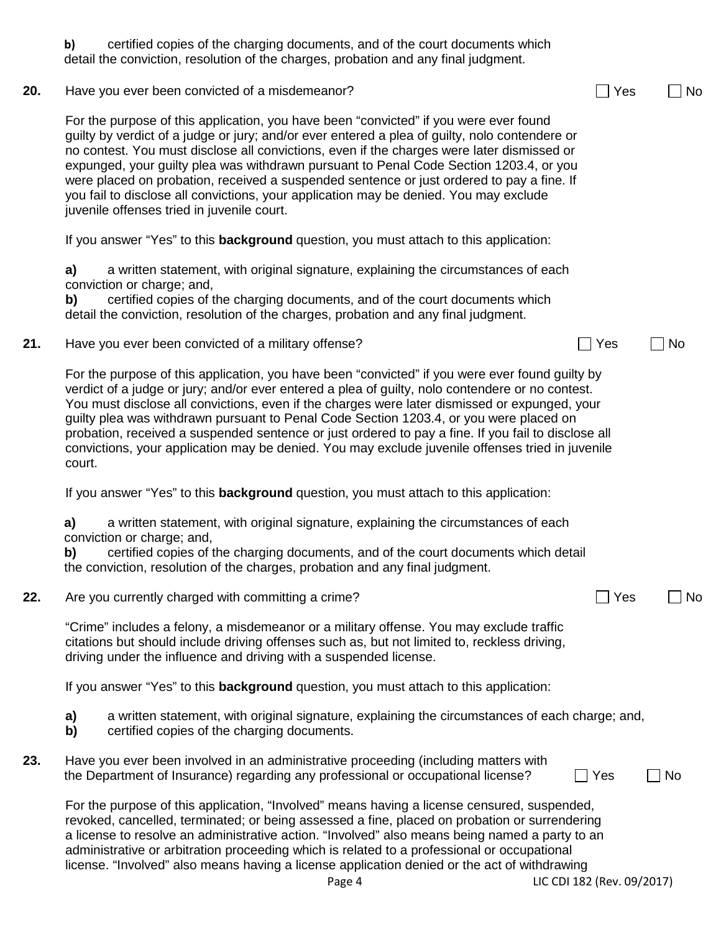|     | certified copies of the charging documents, and of the court documents which<br>b)<br>detail the conviction, resolution of the charges, probation and any final judgment.                                                                                                                                                                                                                                                                                                                                                                                                                                           |           |
|-----|---------------------------------------------------------------------------------------------------------------------------------------------------------------------------------------------------------------------------------------------------------------------------------------------------------------------------------------------------------------------------------------------------------------------------------------------------------------------------------------------------------------------------------------------------------------------------------------------------------------------|-----------|
| 20. | Have you ever been convicted of a misdemeanor?                                                                                                                                                                                                                                                                                                                                                                                                                                                                                                                                                                      | No<br>Yes |
|     | For the purpose of this application, you have been "convicted" if you were ever found<br>guilty by verdict of a judge or jury; and/or ever entered a plea of guilty, nolo contendere or<br>no contest. You must disclose all convictions, even if the charges were later dismissed or<br>expunged, your guilty plea was withdrawn pursuant to Penal Code Section 1203.4, or you<br>were placed on probation, received a suspended sentence or just ordered to pay a fine. If<br>you fail to disclose all convictions, your application may be denied. You may exclude<br>juvenile offenses tried in juvenile court. |           |
|     | If you answer "Yes" to this <b>background</b> question, you must attach to this application:                                                                                                                                                                                                                                                                                                                                                                                                                                                                                                                        |           |
|     | a)<br>a written statement, with original signature, explaining the circumstances of each<br>conviction or charge; and,<br>certified copies of the charging documents, and of the court documents which<br>b)<br>detail the conviction, resolution of the charges, probation and any final judgment.                                                                                                                                                                                                                                                                                                                 |           |
| 21. | Have you ever been convicted of a military offense?<br>Yes                                                                                                                                                                                                                                                                                                                                                                                                                                                                                                                                                          | No        |
|     | For the purpose of this application, you have been "convicted" if you were ever found guilty by<br>verdict of a judge or jury; and/or ever entered a plea of guilty, nolo contendere or no contest.<br>You must disclose all convictions, even if the charges were later dismissed or expunged, your<br>guilty plea was withdrawn pursuant to Penal Code Section 1203.4, or you were placed on<br>probation, received a suspended sentence or just ordered to pay a fine. If you fail to disclose all<br>convictions, your application may be denied. You may exclude juvenile offenses tried in juvenile<br>court. |           |
|     | If you answer "Yes" to this <b>background</b> question, you must attach to this application:                                                                                                                                                                                                                                                                                                                                                                                                                                                                                                                        |           |
|     | a)<br>a written statement, with original signature, explaining the circumstances of each<br>conviction or charge; and,<br>certified copies of the charging documents, and of the court documents which detail<br>b)<br>the conviction, resolution of the charges, probation and any final judgment.                                                                                                                                                                                                                                                                                                                 |           |
| 22. | Are you currently charged with committing a crime?                                                                                                                                                                                                                                                                                                                                                                                                                                                                                                                                                                  | No<br>Yes |
|     | "Crime" includes a felony, a misdemeanor or a military offense. You may exclude traffic<br>citations but should include driving offenses such as, but not limited to, reckless driving,<br>driving under the influence and driving with a suspended license.                                                                                                                                                                                                                                                                                                                                                        |           |
|     | If you answer "Yes" to this <b>background</b> question, you must attach to this application:                                                                                                                                                                                                                                                                                                                                                                                                                                                                                                                        |           |
|     | a written statement, with original signature, explaining the circumstances of each charge; and,<br>a)<br>certified copies of the charging documents.<br>b)                                                                                                                                                                                                                                                                                                                                                                                                                                                          |           |
| 23. | Have you ever been involved in an administrative proceeding (including matters with<br>the Department of Insurance) regarding any professional or occupational license?<br>Yes                                                                                                                                                                                                                                                                                                                                                                                                                                      | No        |
|     | For the purpose of this application, "Involved" means having a license censured, suspended,<br>revoked, cancelled, terminated; or being assessed a fine, placed on probation or surrendering<br>a license to resolve an administrative action. "Involved" also means being named a party to an<br>administrative or arbitration proceeding which is related to a professional or occupational<br>license. "Involved" also means having a license application denied or the act of withdrawing<br>LIC CDI 182 (Rev. 09/2017)<br>Page 4                                                                               |           |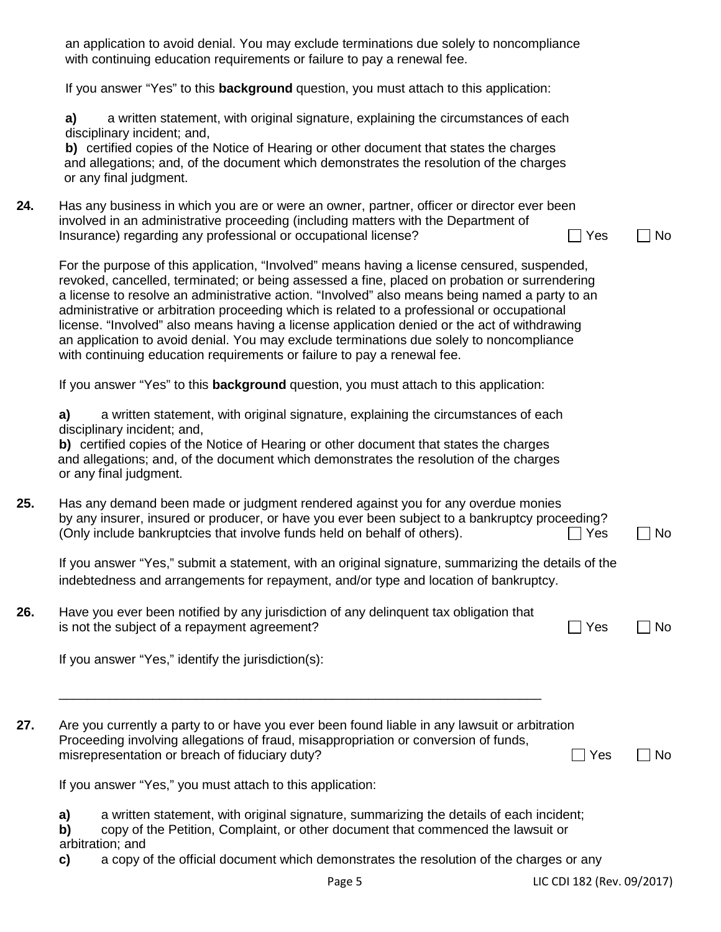|     | an application to avoid denial. You may exclude terminations due solely to noncompliance<br>with continuing education requirements or failure to pay a renewal fee.                                                                                                                                                                                                                                                                                                                                                                                                                                                                                                  |           |
|-----|----------------------------------------------------------------------------------------------------------------------------------------------------------------------------------------------------------------------------------------------------------------------------------------------------------------------------------------------------------------------------------------------------------------------------------------------------------------------------------------------------------------------------------------------------------------------------------------------------------------------------------------------------------------------|-----------|
|     | If you answer "Yes" to this <b>background</b> question, you must attach to this application:                                                                                                                                                                                                                                                                                                                                                                                                                                                                                                                                                                         |           |
|     | a written statement, with original signature, explaining the circumstances of each<br>a)<br>disciplinary incident; and,<br>b) certified copies of the Notice of Hearing or other document that states the charges<br>and allegations; and, of the document which demonstrates the resolution of the charges<br>or any final judgment.                                                                                                                                                                                                                                                                                                                                |           |
| 24. | Has any business in which you are or were an owner, partner, officer or director ever been<br>involved in an administrative proceeding (including matters with the Department of<br>Insurance) regarding any professional or occupational license?<br>Yes                                                                                                                                                                                                                                                                                                                                                                                                            | <b>No</b> |
|     | For the purpose of this application, "Involved" means having a license censured, suspended,<br>revoked, cancelled, terminated; or being assessed a fine, placed on probation or surrendering<br>a license to resolve an administrative action. "Involved" also means being named a party to an<br>administrative or arbitration proceeding which is related to a professional or occupational<br>license. "Involved" also means having a license application denied or the act of withdrawing<br>an application to avoid denial. You may exclude terminations due solely to noncompliance<br>with continuing education requirements or failure to pay a renewal fee. |           |
|     | If you answer "Yes" to this <b>background</b> question, you must attach to this application:                                                                                                                                                                                                                                                                                                                                                                                                                                                                                                                                                                         |           |
|     | a written statement, with original signature, explaining the circumstances of each<br>a)<br>disciplinary incident; and,<br>b) certified copies of the Notice of Hearing or other document that states the charges<br>and allegations; and, of the document which demonstrates the resolution of the charges<br>or any final judgment.                                                                                                                                                                                                                                                                                                                                |           |
| 25. | Has any demand been made or judgment rendered against you for any overdue monies<br>by any insurer, insured or producer, or have you ever been subject to a bankruptcy proceeding?<br>(Only include bankruptcies that involve funds held on behalf of others).<br>Yes                                                                                                                                                                                                                                                                                                                                                                                                | No        |
|     | If you answer "Yes," submit a statement, with an original signature, summarizing the details of the<br>indebtedness and arrangements for repayment, and/or type and location of bankruptcy.                                                                                                                                                                                                                                                                                                                                                                                                                                                                          |           |
| 26. | Have you ever been notified by any jurisdiction of any delinquent tax obligation that<br>is not the subject of a repayment agreement?<br>Yes                                                                                                                                                                                                                                                                                                                                                                                                                                                                                                                         | No        |
|     | If you answer "Yes," identify the jurisdiction(s):                                                                                                                                                                                                                                                                                                                                                                                                                                                                                                                                                                                                                   |           |
| 27. | Are you currently a party to or have you ever been found liable in any lawsuit or arbitration<br>Proceeding involving allegations of fraud, misappropriation or conversion of funds,<br>misrepresentation or breach of fiduciary duty?<br>Yes                                                                                                                                                                                                                                                                                                                                                                                                                        | No        |
|     | If you answer "Yes," you must attach to this application:                                                                                                                                                                                                                                                                                                                                                                                                                                                                                                                                                                                                            |           |
|     | a written statement, with original signature, summarizing the details of each incident;<br>a)<br>copy of the Petition, Complaint, or other document that commenced the lawsuit or<br>b)<br>arbitration; and<br>a copy of the official document which demonstrates the resolution of the charges or any<br>c)                                                                                                                                                                                                                                                                                                                                                         |           |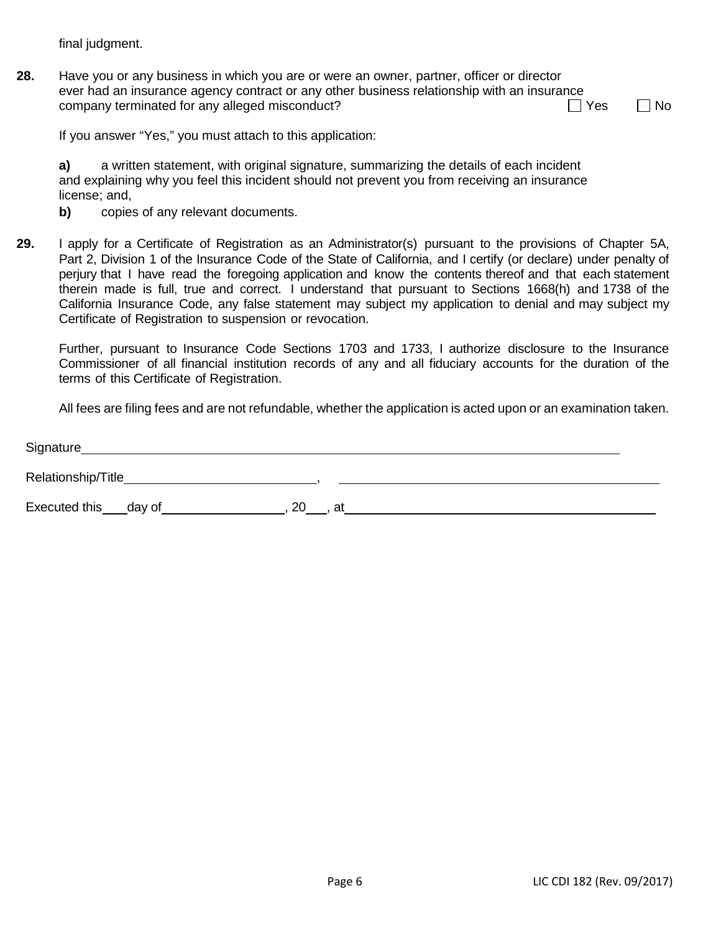final judgment.

**28.** Have you or any business in which you are or were an owner, partner, officer or director ever had an insurance agency contract or any other business relationship with an insurance company terminated for any alleged misconduct?

 $\Box$  Yes  $\Box$  No

If you answer "Yes," you must attach to this application:

**a)** a written statement, with original signature, summarizing the details of each incident and explaining why you feel this incident should not prevent you from receiving an insurance license; and,

- **b)** copies of any relevant documents.
- **29.** I apply for a Certificate of Registration as an Administrator(s) pursuant to the provisions of Chapter 5A, Part 2, Division 1 of the Insurance Code of the State of California, and I certify (or declare) under penalty of perjury that I have read the foregoing application and know the contents thereof and that each statement therein made is full, true and correct. I understand that pursuant to Sections 1668(h) and 1738 of the California Insurance Code, any false statement may subject my application to denial and may subject my Certificate of Registration to suspension or revocation.

 Further, pursuant to Insurance Code Sections 1703 and 1733, I authorize disclosure to the Insurance Commissioner of all financial institution records of any and all fiduciary accounts for the duration of the terms of this Certificate of Registration.

All fees are filing fees and are not refundable, whether the application is acted upon or an examination taken.

| Signature                |    |    |
|--------------------------|----|----|
| Relationship/Title_      |    |    |
| Executed this ___ day of | 20 | at |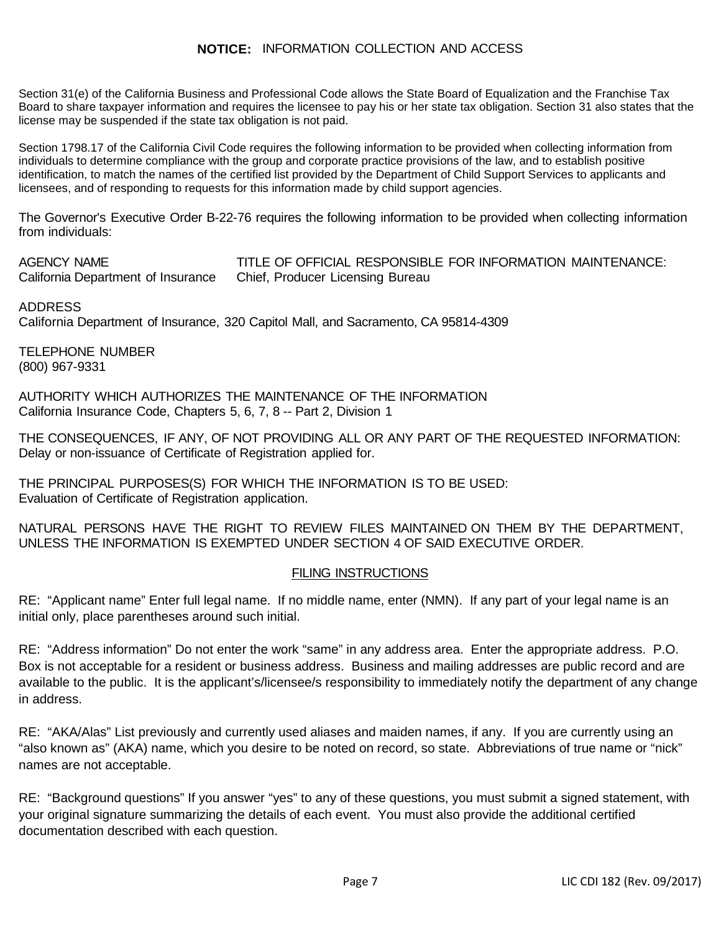# **NOTICE:** INFORMATION COLLECTION AND ACCESS

 Board to share taxpayer information and requires the licensee to pay his or her state tax obligation. Section 31 also states that the Section 31(e) of the California Business and Professional Code allows the State Board of Equalization and the Franchise Tax license may be suspended if the state tax obligation is not paid.

licensees, and of responding to requests for this information made by child support agencies. Section 1798.17 of the California Civil Code requires the following information to be provided when collecting information from individuals to determine compliance with the group and corporate practice provisions of the law, and to establish positive identification, to match the names of the certified list provided by the Department of Child Support Services to applicants and

licensees, and of responding to requests for this information made by child support agencies.<br>The Governor's Executive Order B-22-76 requires the following information to be provided when collecting information from individuals:

 AGENCY NAME California Department of Insurance

TITLE OF OFFICIAL RESPONSIBLE FOR INFORMATION MAINTENANCE: Chief, Producer Licensing Bureau

 California Department of Insurance, 320 Capitol Mall, and Sacramento, CA 95814-4309 ADDRESS

 TELEPHONE NUMBER (800) 967-9331

 AUTHORITY WHICH AUTHORIZES THE MAINTENANCE OF THE INFORMATION California Insurance Code, Chapters 5, 6, 7, 8 -- Part 2, Division 1

 THE CONSEQUENCES, IF ANY, OF NOT PROVIDING ALL OR ANY PART OF THE REQUESTED INFORMATION: Delay or non-issuance of Certificate of Registration applied for.

 THE PRINCIPAL PURPOSES(S) FOR WHICH THE INFORMATION IS TO BE USED: Evaluation of Certificate of Registration application.

 NATURAL PERSONS HAVE THE RIGHT TO REVIEW FILES MAINTAINED ON THEM BY THE DEPARTMENT, UNLESS THE INFORMATION IS EXEMPTED UNDER SECTION 4 OF SAID EXECUTIVE ORDER.

## FILING INSTRUCTIONS

 RE: "Applicant name" Enter full legal name. If no middle name, enter (NMN). If any part of your legal name is an initial only, place parentheses around such initial.

 RE: "Address information" Do not enter the work "same" in any address area. Enter the appropriate address. P.O. available to the public. It is the applicant's/licensee/s responsibility to immediately notify the department of any change Box is not acceptable for a resident or business address. Business and mailing addresses are public record and are in address.

 RE: "AKA/Alas" List previously and currently used aliases and maiden names, if any. If you are currently using an "also known as" (AKA) name, which you desire to be noted on record, so state. Abbreviations of true name or "nick" names are not acceptable.

 RE: "Background questions" If you answer "yes" to any of these questions, you must submit a signed statement, with your original signature summarizing the details of each event. You must also provide the additional certified documentation described with each question.